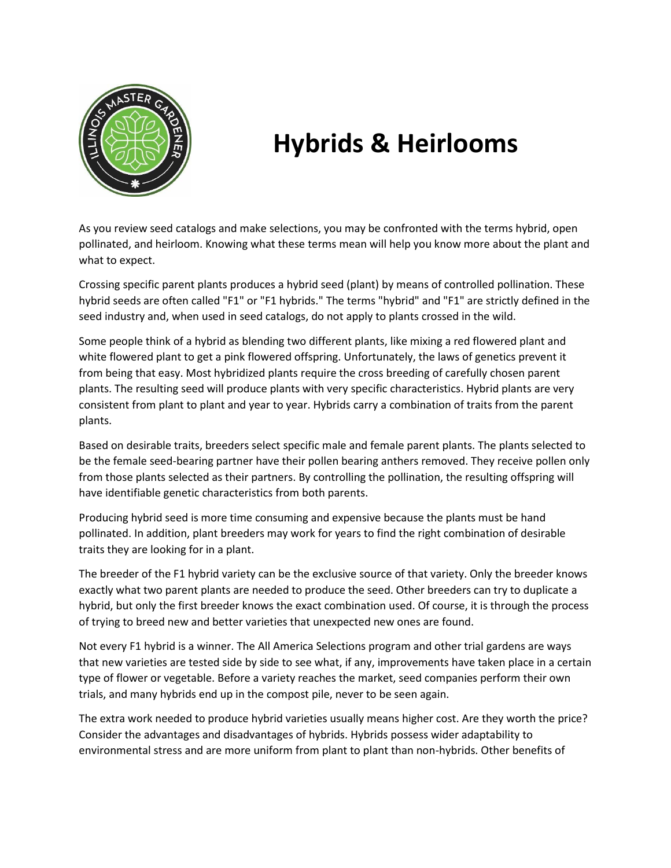

# **Hybrids & Heirlooms**

As you review seed catalogs and make selections, you may be confronted with the terms hybrid, open pollinated, and heirloom. Knowing what these terms mean will help you know more about the plant and what to expect.

Crossing specific parent plants produces a hybrid seed (plant) by means of controlled pollination. These hybrid seeds are often called "F1" or "F1 hybrids." The terms "hybrid" and "F1" are strictly defined in the seed industry and, when used in seed catalogs, do not apply to plants crossed in the wild.

Some people think of a hybrid as blending two different plants, like mixing a red flowered plant and white flowered plant to get a pink flowered offspring. Unfortunately, the laws of genetics prevent it from being that easy. Most hybridized plants require the cross breeding of carefully chosen parent plants. The resulting seed will produce plants with very specific characteristics. Hybrid plants are very consistent from plant to plant and year to year. Hybrids carry a combination of traits from the parent plants.

Based on desirable traits, breeders select specific male and female parent plants. The plants selected to be the female seed-bearing partner have their pollen bearing anthers removed. They receive pollen only from those plants selected as their partners. By controlling the pollination, the resulting offspring will have identifiable genetic characteristics from both parents.

Producing hybrid seed is more time consuming and expensive because the plants must be hand pollinated. In addition, plant breeders may work for years to find the right combination of desirable traits they are looking for in a plant.

The breeder of the F1 hybrid variety can be the exclusive source of that variety. Only the breeder knows exactly what two parent plants are needed to produce the seed. Other breeders can try to duplicate a hybrid, but only the first breeder knows the exact combination used. Of course, it is through the process of trying to breed new and better varieties that unexpected new ones are found.

Not every F1 hybrid is a winner. The All America Selections program and other trial gardens are ways that new varieties are tested side by side to see what, if any, improvements have taken place in a certain type of flower or vegetable. Before a variety reaches the market, seed companies perform their own trials, and many hybrids end up in the compost pile, never to be seen again.

The extra work needed to produce hybrid varieties usually means higher cost. Are they worth the price? Consider the advantages and disadvantages of hybrids. Hybrids possess wider adaptability to environmental stress and are more uniform from plant to plant than non-hybrids. Other benefits of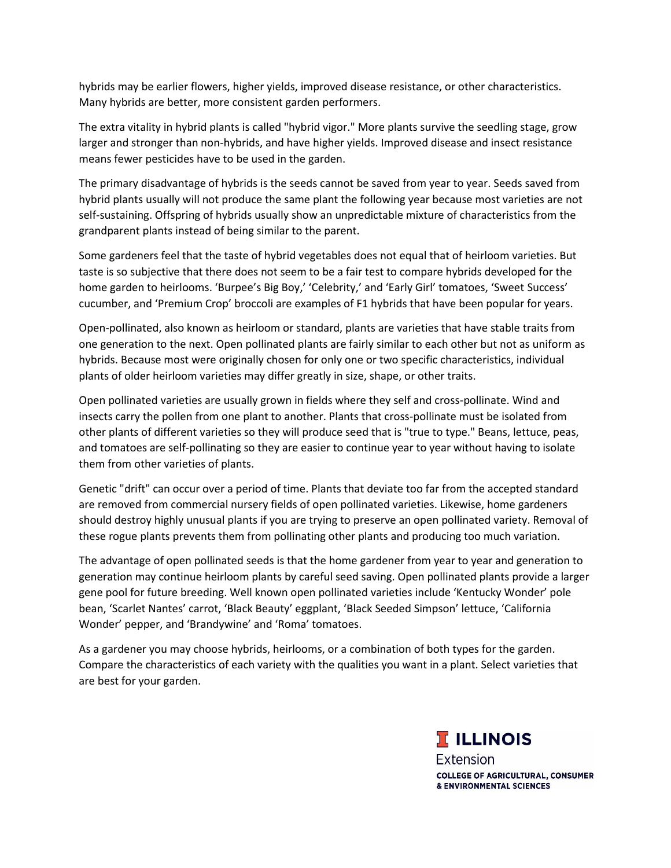hybrids may be earlier flowers, higher yields, improved disease resistance, or other characteristics. Many hybrids are better, more consistent garden performers.

The extra vitality in hybrid plants is called "hybrid vigor." More plants survive the seedling stage, grow larger and stronger than non-hybrids, and have higher yields. Improved disease and insect resistance means fewer pesticides have to be used in the garden.

The primary disadvantage of hybrids is the seeds cannot be saved from year to year. Seeds saved from hybrid plants usually will not produce the same plant the following year because most varieties are not self-sustaining. Offspring of hybrids usually show an unpredictable mixture of characteristics from the grandparent plants instead of being similar to the parent.

Some gardeners feel that the taste of hybrid vegetables does not equal that of heirloom varieties. But taste is so subjective that there does not seem to be a fair test to compare hybrids developed for the home garden to heirlooms. 'Burpee's Big Boy,' 'Celebrity,' and 'Early Girl' tomatoes, 'Sweet Success' cucumber, and 'Premium Crop' broccoli are examples of F1 hybrids that have been popular for years.

Open-pollinated, also known as heirloom or standard, plants are varieties that have stable traits from one generation to the next. Open pollinated plants are fairly similar to each other but not as uniform as hybrids. Because most were originally chosen for only one or two specific characteristics, individual plants of older heirloom varieties may differ greatly in size, shape, or other traits.

Open pollinated varieties are usually grown in fields where they self and cross-pollinate. Wind and insects carry the pollen from one plant to another. Plants that cross-pollinate must be isolated from other plants of different varieties so they will produce seed that is "true to type." Beans, lettuce, peas, and tomatoes are self-pollinating so they are easier to continue year to year without having to isolate them from other varieties of plants.

Genetic "drift" can occur over a period of time. Plants that deviate too far from the accepted standard are removed from commercial nursery fields of open pollinated varieties. Likewise, home gardeners should destroy highly unusual plants if you are trying to preserve an open pollinated variety. Removal of these rogue plants prevents them from pollinating other plants and producing too much variation.

The advantage of open pollinated seeds is that the home gardener from year to year and generation to generation may continue heirloom plants by careful seed saving. Open pollinated plants provide a larger gene pool for future breeding. Well known open pollinated varieties include 'Kentucky Wonder' pole bean, 'Scarlet Nantes' carrot, 'Black Beauty' eggplant, 'Black Seeded Simpson' lettuce, 'California Wonder' pepper, and 'Brandywine' and 'Roma' tomatoes.

As a gardener you may choose hybrids, heirlooms, or a combination of both types for the garden. Compare the characteristics of each variety with the qualities you want in a plant. Select varieties that are best for your garden.

> **T ILLINOIS Extension COLLEGE OF AGRICULTURAL, CONSUMER** & ENVIRONMENTAL SCIENCES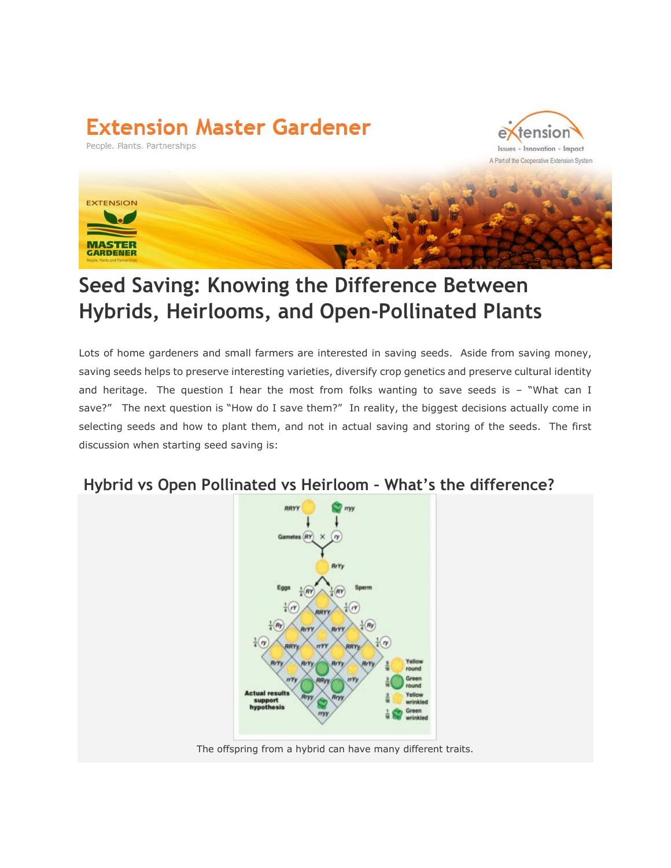## **Extension Master Gardener**

People. Plants. Partnerships





### **Seed Saving: Knowing the Difference Between Hybrids, Heirlooms, and Open-Pollinated Plants**

Lots of home gardeners and small farmers are interested in saving seeds. Aside from saving money, saving seeds helps to preserve interesting varieties, diversify crop genetics and preserve cultural identity and heritage. The question I hear the most from folks wanting to save seeds is  $-$  "What can I save?" The next question is "How do I save them?" In reality, the biggest decisions actually come in selecting seeds and how to plant them, and not in actual saving and storing of the seeds. The first discussion when starting seed saving is:

#### **Hybrid vs Open Pollinated vs Heirloom – What's the difference?**



The offspring from a hybrid can have many different traits.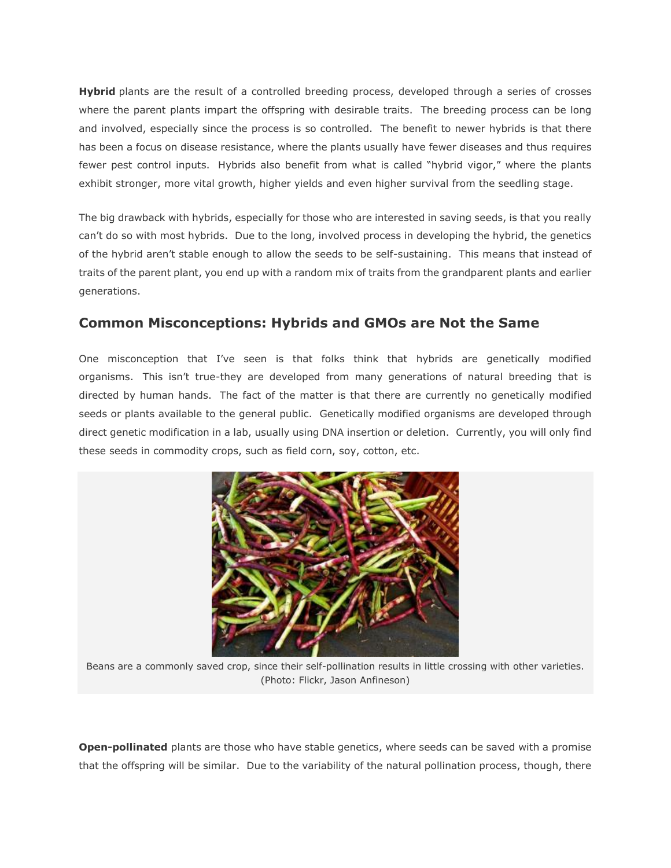**Hybrid** plants are the result of a controlled breeding process, developed through a series of crosses where the parent plants impart the offspring with desirable traits. The breeding process can be long and involved, especially since the process is so controlled. The benefit to newer hybrids is that there has been a focus on disease resistance, where the plants usually have fewer diseases and thus requires fewer pest control inputs. Hybrids also benefit from what is called "hybrid vigor," where the plants exhibit stronger, more vital growth, higher yields and even higher survival from the seedling stage.

The big drawback with hybrids, especially for those who are interested in saving seeds, is that you really can't do so with most hybrids. Due to the long, involved process in developing the hybrid, the genetics of the hybrid aren't stable enough to allow the seeds to be self-sustaining. This means that instead of traits of the parent plant, you end up with a random mix of traits from the grandparent plants and earlier generations.

#### **Common Misconceptions: Hybrids and GMOs are Not the Same**

One misconception that I've seen is that folks think that hybrids are genetically modified organisms. This isn't true-they are developed from many generations of natural breeding that is directed by human hands. The fact of the matter is that there are currently no genetically modified seeds or plants available to the general public. Genetically modified organisms are developed through direct genetic modification in a lab, usually using DNA insertion or deletion. Currently, you will only find these seeds in commodity crops, such as field corn, soy, cotton, etc.



Beans are a commonly saved crop, since their self-pollination results in little crossing with other varieties. (Photo: Flickr, Jason Anfineson)

**Open-pollinated** plants are those who have stable genetics, where seeds can be saved with a promise that the offspring will be similar. Due to the variability of the natural pollination process, though, there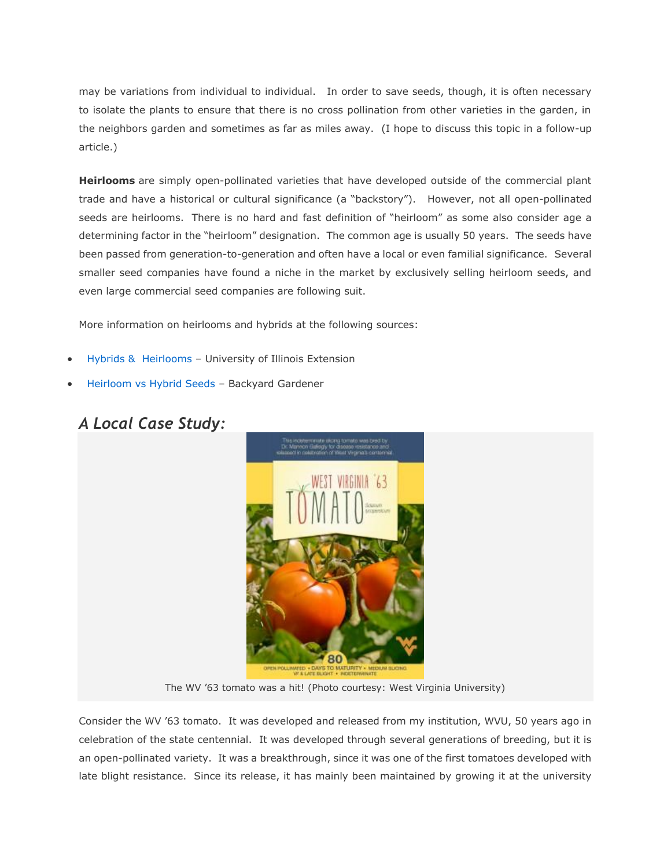may be variations from individual to individual. In order to save seeds, though, it is often necessary to isolate the plants to ensure that there is no cross pollination from other varieties in the garden, in the neighbors garden and sometimes as far as miles away. (I hope to discuss this topic in a follow-up article.)

**Heirlooms** are simply open-pollinated varieties that have developed outside of the commercial plant trade and have a historical or cultural significance (a "backstory"). However, not all open-pollinated seeds are heirlooms. There is no hard and fast definition of "heirloom" as some also consider age a determining factor in the "heirloom" designation. The common age is usually 50 years. The seeds have been passed from generation-to-generation and often have a local or even familial significance. Several smaller seed companies have found a niche in the market by exclusively selling heirloom seeds, and even large commercial seed companies are following suit.

More information on heirlooms and hybrids at the following sources:

- Hybrids & [Heirlooms](http://urbanext.illinois.edu/hortihints/0102a.html) University of Illinois Extension
- [Heirloom vs Hybrid Seeds](http://cals.arizona.edu/yavapai/anr/hort/byg/archive/hybridseeds.html) Backyard Gardener

### *A Local Case Study:*



The WV '63 tomato was a hit! (Photo courtesy: West Virginia University)

Consider the WV '63 tomato. It was developed and released from my institution, WVU, 50 years ago in celebration of the state centennial. It was developed through several generations of breeding, but it is an open-pollinated variety. It was a breakthrough, since it was one of the first tomatoes developed with late blight resistance. Since its release, it has mainly been maintained by growing it at the university